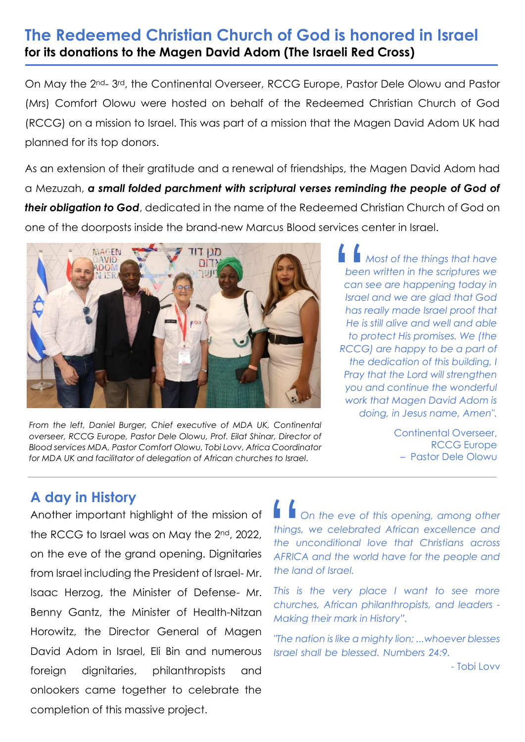## **The Redeemed Christian Church of God is honored in Israel for its donations to the Magen David Adom (The Israeli Red Cross)**

On May the 2nd- 3rd, the Continental Overseer, RCCG Europe, Pastor Dele Olowu and Pastor (Mrs) Comfort Olowu were hosted on behalf of the Redeemed Christian Church of God (RCCG) on a mission to Israel. This was part of a mission that the Magen David Adom UK had planned for its top donors.

As an extension of their gratitude and a renewal of friendships, the Magen David Adom had a Mezuzah, *a small folded parchment with scriptural verses reminding the people of God of their obligation to God*, dedicated in the name of the Redeemed Christian Church of God on one of the doorposts inside the brand-new Marcus Blood services center in Israel.



*From the left, Daniel Burger, Chief executive of MDA UK, Continental overseer, RCCG Europe, Pastor Dele Olowu, Prof. Eilat Shinar, Director of Blood services MDA, Pastor Comfort Olowu, Tobi Lovv, Africa Coordinator for MDA UK and facilitator of delegation of African churches to Israel.* 

 *Most of the things that have been written in the scriptures we can see are happening today in Israel and we are glad that God has really made Israel proof that He is still alive and well and able to protect His promises. We (the RCCG) are happy to be a part of the dedication of this building, I Pray that the Lord will strengthen you and continue the wonderful work that Magen David Adom is doing, in Jesus name, Amen".* |<br>| beer<br>| can :<br>| Israe

> Continental Overseer, RCCG Europe – Pastor Dele Olowu

## **A day in History**

Another important highlight of the mission of the RCCG to Israel was on May the 2<sup>nd</sup>, 2022, on the eve of the grand opening. Dignitaries from Israel including the President of Israel- Mr. Isaac Herzog, the Minister of Defense- Mr. Benny Gantz, the Minister of Health-Nitzan Horowitz, the Director General of Magen David Adom in Israel, Eli Bin and numerous foreign dignitaries, philanthropists and onlookers came together to celebrate the completion of this massive project.

■ ■ On the eve of this opening, among other *things, we celebrated African excellence and the unconditional love that Christians across AFRICA and the world have for the people and the land of Israel.*  things,<br>the u<br>AFRIC

*This is the very place I want to see more churches, African philanthropists, and leaders - Making their mark in History".* 

*"The nation is like a mighty lion; ...whoever blesses Israel shall be blessed. Numbers 24:9.* 

- Tobi Lovv